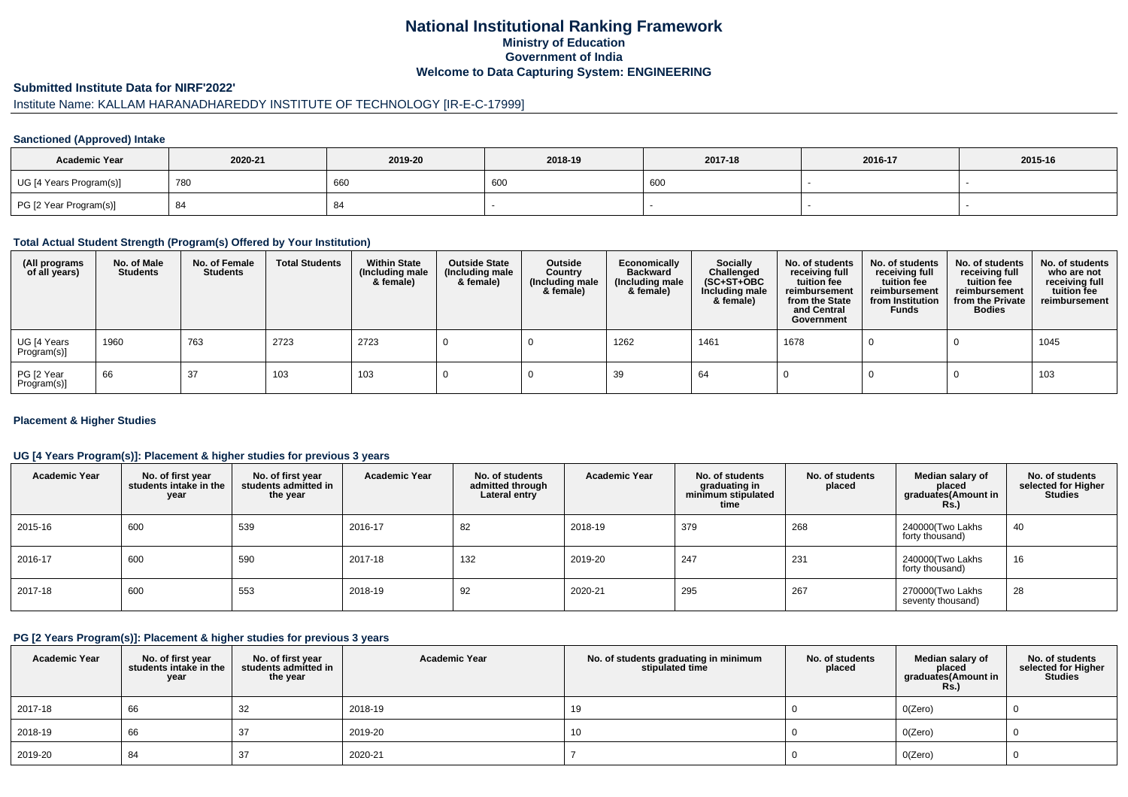### **National Institutional Ranking FrameworkMinistry of Education Government of IndiaWelcome to Data Capturing System: ENGINEERING**

#### **Submitted Institute Data for NIRF'2022'**

# Institute Name: KALLAM HARANADHAREDDY INSTITUTE OF TECHNOLOGY [IR-E-C-17999]

#### **Sanctioned (Approved) Intake**

| <b>Academic Year</b>    | 2020-21 | 2019-20 | 2018-19 | 2017-18 | 2016-17 | 2015-16 |
|-------------------------|---------|---------|---------|---------|---------|---------|
| UG [4 Years Program(s)] | 780     | 660     | 600     | 600     |         |         |
| PG [2 Year Program(s)]  | -84     |         |         |         |         |         |

#### **Total Actual Student Strength (Program(s) Offered by Your Institution)**

| (All programs<br>of all years) | No. of Male<br><b>Students</b> | No. of Female<br><b>Students</b> | <b>Total Students</b> | <b>Within State</b><br>(Including male<br>& female) | <b>Outside State</b><br>(Including male<br>& female) | Outside<br>Country<br>(Including male<br>& female) | Economically<br><b>Backward</b><br>(Including male<br>& female) | <b>Socially</b><br>Challenged<br>$(SC+ST+OBC)$<br>Including male<br>& female) | No. of students<br>receiving full<br>tuition fee<br>reimbursement<br>from the State<br>and Central<br>Government | No. of students<br>receiving full<br>tuition fee<br>reimbursement<br>from Institution<br><b>Funds</b> | No. of students<br>receiving full<br>tuition fee<br>reimbursement<br>from the Private<br><b>Bodies</b> | No. of students<br>who are not<br>receiving full<br>tuition fee<br>reimbursement |
|--------------------------------|--------------------------------|----------------------------------|-----------------------|-----------------------------------------------------|------------------------------------------------------|----------------------------------------------------|-----------------------------------------------------------------|-------------------------------------------------------------------------------|------------------------------------------------------------------------------------------------------------------|-------------------------------------------------------------------------------------------------------|--------------------------------------------------------------------------------------------------------|----------------------------------------------------------------------------------|
| UG [4 Years<br>Program(s)]     | 1960                           | 763                              | 2723                  | 2723                                                |                                                      |                                                    | 1262                                                            | 1461                                                                          | 1678                                                                                                             |                                                                                                       |                                                                                                        | 1045                                                                             |
| PG [2 Year<br>Program(s)]      | 66                             | 37                               | 103                   | 103                                                 |                                                      |                                                    | 39                                                              | 64                                                                            |                                                                                                                  |                                                                                                       |                                                                                                        | 103                                                                              |

#### **Placement & Higher Studies**

#### **UG [4 Years Program(s)]: Placement & higher studies for previous 3 years**

| <b>Academic Year</b> | No. of first year<br>students intake in the<br>year | No. of first year<br>students admitted in<br>the year | <b>Academic Year</b> | No. of students<br>admitted through<br>Lateral entry | <b>Academic Year</b> | No. of students<br>graduating in<br>minimum stipulated<br>time | No. of students<br>placed | Median salary of<br>placed<br>graduates(Amount in<br>Rs.) | No. of students<br>selected for Higher<br><b>Studies</b> |
|----------------------|-----------------------------------------------------|-------------------------------------------------------|----------------------|------------------------------------------------------|----------------------|----------------------------------------------------------------|---------------------------|-----------------------------------------------------------|----------------------------------------------------------|
| 2015-16              | 600                                                 | 539                                                   | 2016-17              | 82                                                   | 2018-19              | 379                                                            | 268                       | 240000 Two Lakhs<br>forty thousand)                       | 40                                                       |
| 2016-17              | 600                                                 | 590                                                   | 2017-18              | 132                                                  | 2019-20              | 247                                                            | 231                       | 240000(Two Lakhs<br>forty thousand)                       | 16                                                       |
| 2017-18              | 600                                                 | 553                                                   | 2018-19              | 92                                                   | 2020-21              | 295                                                            | 267                       | 270000(Two Lakhs<br>seventy thousand)                     | 28                                                       |

#### **PG [2 Years Program(s)]: Placement & higher studies for previous 3 years**

| <b>Academic Year</b> | No. of first year<br>students intake in the<br>year | No. of first vear<br>students admitted in<br>the year | <b>Academic Year</b> | No. of students graduating in minimum<br>stipulated time | No. of students<br>placed | Median salary of<br>placed<br>graduates(Amount in<br><b>Rs.)</b> | No. of students<br>selected for Higher<br><b>Studies</b> |
|----------------------|-----------------------------------------------------|-------------------------------------------------------|----------------------|----------------------------------------------------------|---------------------------|------------------------------------------------------------------|----------------------------------------------------------|
| 2017-18              | 66                                                  | 32                                                    | 2018-19              | 19                                                       |                           | O(Zero)                                                          |                                                          |
| 2018-19              | 66                                                  | 37                                                    | 2019-20              | 10                                                       |                           | O(Zero)                                                          |                                                          |
| 2019-20              | 84                                                  | 37                                                    | 2020-21              |                                                          |                           | O(Zero)                                                          |                                                          |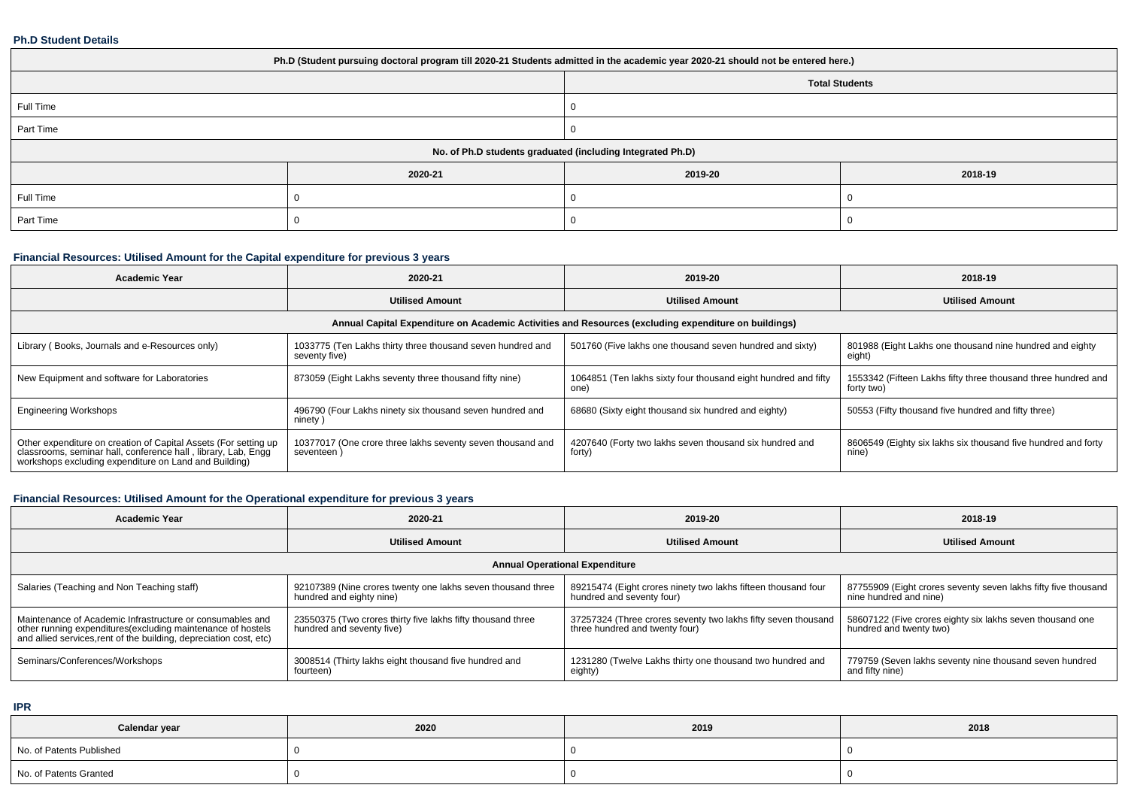#### **Ph.D Student Details**

| Ph.D (Student pursuing doctoral program till 2020-21 Students admitted in the academic year 2020-21 should not be entered here.) |         |         |         |  |  |  |  |
|----------------------------------------------------------------------------------------------------------------------------------|---------|---------|---------|--|--|--|--|
| <b>Total Students</b>                                                                                                            |         |         |         |  |  |  |  |
| Full Time                                                                                                                        |         |         |         |  |  |  |  |
| Part Time                                                                                                                        |         |         |         |  |  |  |  |
| No. of Ph.D students graduated (including Integrated Ph.D)                                                                       |         |         |         |  |  |  |  |
|                                                                                                                                  | 2020-21 | 2019-20 | 2018-19 |  |  |  |  |
| Full Time                                                                                                                        |         |         |         |  |  |  |  |
| Part Time                                                                                                                        |         |         |         |  |  |  |  |

# **Financial Resources: Utilised Amount for the Capital expenditure for previous 3 years**

| <b>Academic Year</b>                                                                                                                                                                      | 2020-21                                                                     | 2019-20                                                                | 2018-19                                                                     |  |  |  |  |  |  |
|-------------------------------------------------------------------------------------------------------------------------------------------------------------------------------------------|-----------------------------------------------------------------------------|------------------------------------------------------------------------|-----------------------------------------------------------------------------|--|--|--|--|--|--|
|                                                                                                                                                                                           | <b>Utilised Amount</b>                                                      | <b>Utilised Amount</b>                                                 | <b>Utilised Amount</b>                                                      |  |  |  |  |  |  |
| Annual Capital Expenditure on Academic Activities and Resources (excluding expenditure on buildings)                                                                                      |                                                                             |                                                                        |                                                                             |  |  |  |  |  |  |
| Library (Books, Journals and e-Resources only)                                                                                                                                            | 1033775 (Ten Lakhs thirty three thousand seven hundred and<br>seventy five) | 501760 (Five lakhs one thousand seven hundred and sixty)               | 801988 (Eight Lakhs one thousand nine hundred and eighty<br>eight)          |  |  |  |  |  |  |
| New Equipment and software for Laboratories                                                                                                                                               | 873059 (Eight Lakhs seventy three thousand fifty nine)                      | 1064851 (Ten lakhs sixty four thousand eight hundred and fifty<br>one) | 1553342 (Fifteen Lakhs fifty three thousand three hundred and<br>forty two) |  |  |  |  |  |  |
| <b>Engineering Workshops</b>                                                                                                                                                              | 496790 (Four Lakhs ninety six thousand seven hundred and<br>ninety)         | 68680 (Sixty eight thousand six hundred and eighty)                    | 50553 (Fifty thousand five hundred and fifty three)                         |  |  |  |  |  |  |
| Other expenditure on creation of Capital Assets (For setting up<br>classrooms, seminar hall, conference hall, library, Lab, Engg<br>workshops excluding expenditure on Land and Building) | 10377017 (One crore three lakhs seventy seven thousand and<br>seventeen     | 4207640 (Forty two lakhs seven thousand six hundred and<br>forty)      | 8606549 (Eighty six lakhs six thousand five hundred and forty<br>nine)      |  |  |  |  |  |  |

# **Financial Resources: Utilised Amount for the Operational expenditure for previous 3 years**

| Academic Year                                                                                                                                                                                   | 2020-21                                                                                  | 2019-20                                                                                         | 2018-19                                                                                  |  |  |  |  |  |  |
|-------------------------------------------------------------------------------------------------------------------------------------------------------------------------------------------------|------------------------------------------------------------------------------------------|-------------------------------------------------------------------------------------------------|------------------------------------------------------------------------------------------|--|--|--|--|--|--|
|                                                                                                                                                                                                 | <b>Utilised Amount</b>                                                                   | <b>Utilised Amount</b>                                                                          | <b>Utilised Amount</b>                                                                   |  |  |  |  |  |  |
| <b>Annual Operational Expenditure</b>                                                                                                                                                           |                                                                                          |                                                                                                 |                                                                                          |  |  |  |  |  |  |
| Salaries (Teaching and Non Teaching staff)                                                                                                                                                      | 92107389 (Nine crores twenty one lakhs seven thousand three<br>hundred and eighty nine)  | 89215474 (Eight crores ninety two lakhs fifteen thousand four<br>hundred and seventy four)      | 87755909 (Eight crores seventy seven lakhs fifty five thousand<br>nine hundred and nine) |  |  |  |  |  |  |
| Maintenance of Academic Infrastructure or consumables and<br>other running expenditures (excluding maintenance of hostels<br>and allied services, rent of the building, depreciation cost, etc) | 23550375 (Two crores thirty five lakhs fifty thousand three<br>hundred and seventy five) | 37257324 (Three crores seventy two lakhs fifty seven thousand<br>three hundred and twenty four) | 58607122 (Five crores eighty six lakhs seven thousand one<br>hundred and twenty two)     |  |  |  |  |  |  |
| Seminars/Conferences/Workshops                                                                                                                                                                  | 3008514 (Thirty lakhs eight thousand five hundred and<br>fourteen)                       | 1231280 (Twelve Lakhs thirty one thousand two hundred and<br>eighty)                            | 779759 (Seven lakhs seventy nine thousand seven hundred<br>and fifty nine)               |  |  |  |  |  |  |

**IPR**

| Calendar year            | 2020 | 2019 | 2018 |
|--------------------------|------|------|------|
| No. of Patents Published |      |      |      |
| No. of Patents Granted   |      |      |      |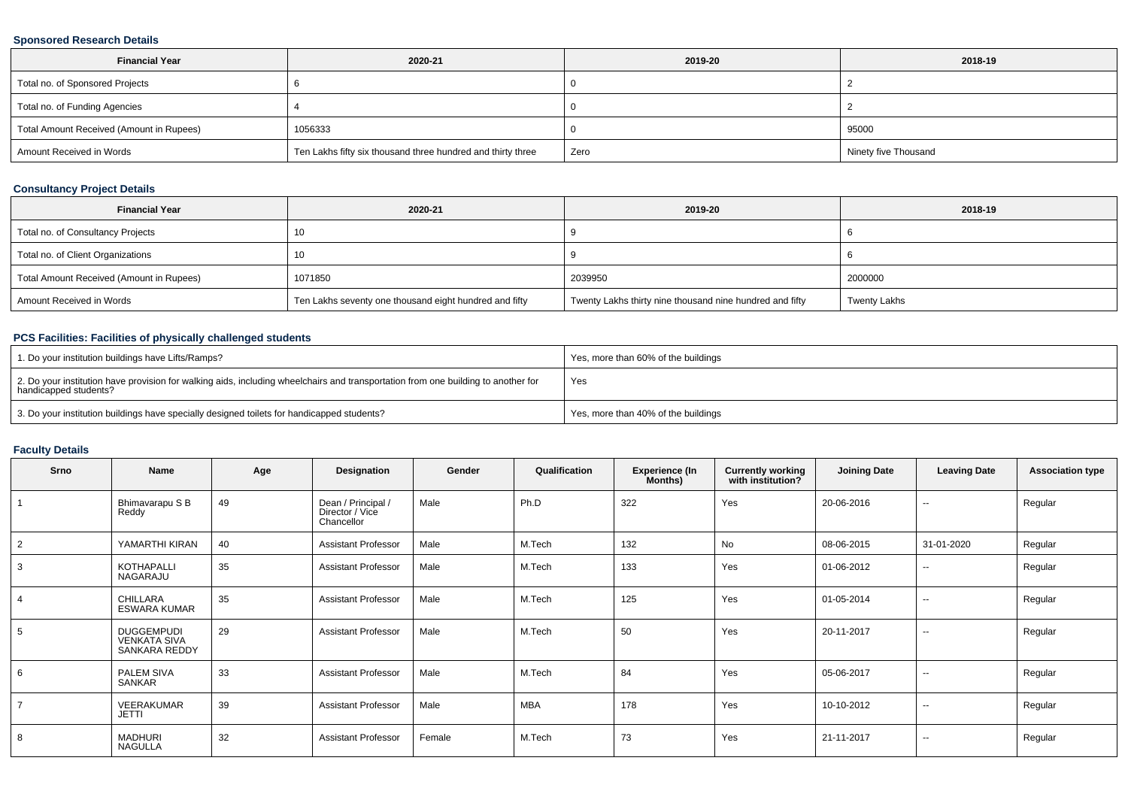#### **Sponsored Research Details**

| <b>Financial Year</b>                    | 2020-21                                                     | 2019-20 | 2018-19              |
|------------------------------------------|-------------------------------------------------------------|---------|----------------------|
| Total no. of Sponsored Projects          |                                                             |         |                      |
| Total no. of Funding Agencies            |                                                             |         |                      |
| Total Amount Received (Amount in Rupees) | 1056333                                                     |         | 95000                |
| Amount Received in Words                 | Ten Lakhs fifty six thousand three hundred and thirty three | Zero    | Ninety five Thousand |

#### **Consultancy Project Details**

| <b>Financial Year</b>                    | 2020-21                                                | 2019-20                                                  | 2018-19             |
|------------------------------------------|--------------------------------------------------------|----------------------------------------------------------|---------------------|
| Total no. of Consultancy Projects        | 10                                                     |                                                          |                     |
| Total no. of Client Organizations        | 10                                                     |                                                          |                     |
| Total Amount Received (Amount in Rupees) | 1071850                                                | 2039950                                                  | 2000000             |
| Amount Received in Words                 | Ten Lakhs seventy one thousand eight hundred and fifty | Twenty Lakhs thirty nine thousand nine hundred and fifty | <b>Twenty Lakhs</b> |

# **PCS Facilities: Facilities of physically challenged students**

| 1. Do your institution buildings have Lifts/Ramps?                                                                                                         | Yes, more than 60% of the buildings |
|------------------------------------------------------------------------------------------------------------------------------------------------------------|-------------------------------------|
| 2. Do your institution have provision for walking aids, including wheelchairs and transportation from one building to another for<br>handicapped students? | Yes                                 |
| 3. Do your institution buildings have specially designed toilets for handicapped students?                                                                 | Yes, more than 40% of the buildings |

### **Faculty Details**

| <b>Srno</b> | Name                                                      | Age | Designation                                         | Gender | Qualification | <b>Experience (In</b><br>Months) | <b>Currently working</b><br>with institution? | <b>Joining Date</b> | <b>Leaving Date</b>      | <b>Association type</b> |
|-------------|-----------------------------------------------------------|-----|-----------------------------------------------------|--------|---------------|----------------------------------|-----------------------------------------------|---------------------|--------------------------|-------------------------|
|             | Bhimavarapu S B<br>Reddy                                  | 49  | Dean / Principal /<br>Director / Vice<br>Chancellor | Male   | Ph.D          | 322                              | Yes                                           | 20-06-2016          | $\sim$                   | Regular                 |
| 2           | YAMARTHI KIRAN                                            | 40  | <b>Assistant Professor</b>                          | Male   | M.Tech        | 132                              | No                                            | 08-06-2015          | 31-01-2020               | Regular                 |
| 3           | <b>KOTHAPALLI</b><br>NAGARAJU                             | 35  | <b>Assistant Professor</b>                          | Male   | M.Tech        | 133                              | Yes                                           | 01-06-2012          | $\sim$                   | Regular                 |
|             | CHILLARA<br><b>ESWARA KUMAR</b>                           | 35  | <b>Assistant Professor</b>                          | Male   | M.Tech        | 125                              | Yes                                           | 01-05-2014          | $\sim$                   | Regular                 |
| 5           | <b>DUGGEMPUDI</b><br><b>VENKATA SIVA</b><br>SANKARA REDDY | 29  | <b>Assistant Professor</b>                          | Male   | M.Tech        | 50                               | Yes                                           | 20-11-2017          | $\sim$                   | Regular                 |
| 6           | PALEM SIVA<br>SANKAR                                      | 33  | <b>Assistant Professor</b>                          | Male   | M.Tech        | 84                               | Yes                                           | 05-06-2017          | $\overline{\phantom{a}}$ | Regular                 |
|             | VEERAKUMAR<br><b>JETTI</b>                                | 39  | <b>Assistant Professor</b>                          | Male   | <b>MBA</b>    | 178                              | Yes                                           | 10-10-2012          | $\overline{\phantom{a}}$ | Regular                 |
| 8           | <b>MADHURI</b><br><b>NAGULLA</b>                          | 32  | <b>Assistant Professor</b>                          | Female | M.Tech        | 73                               | Yes                                           | 21-11-2017          | $\sim$                   | Regular                 |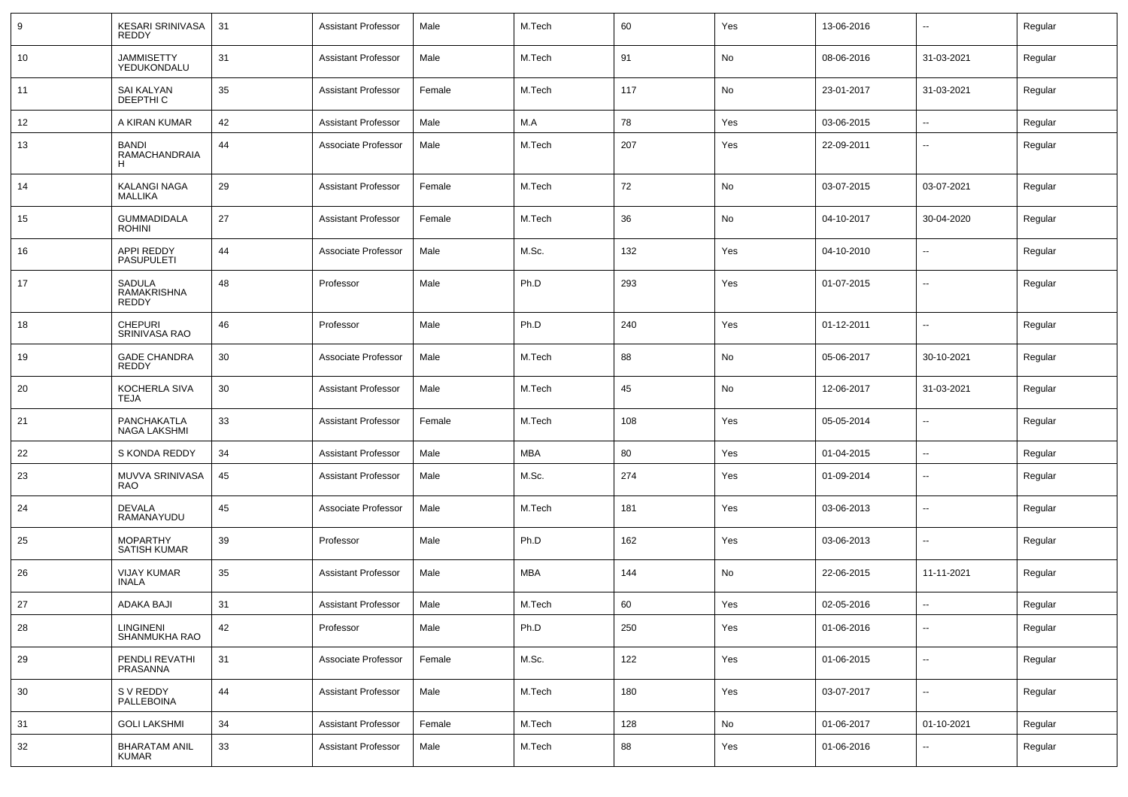| 9  | <b>KESARI SRINIVASA</b><br><b>REDDY</b>   | 31 | <b>Assistant Professor</b> | Male   | M.Tech     | 60  | Yes | 13-06-2016 | $\sim$                   | Regular |
|----|-------------------------------------------|----|----------------------------|--------|------------|-----|-----|------------|--------------------------|---------|
| 10 | <b>JAMMISETTY</b><br>YEDUKONDALU          | 31 | <b>Assistant Professor</b> | Male   | M.Tech     | 91  | No  | 08-06-2016 | 31-03-2021               | Regular |
| 11 | SAI KALYAN<br>DEEPTHI C                   | 35 | <b>Assistant Professor</b> | Female | M.Tech     | 117 | No  | 23-01-2017 | 31-03-2021               | Regular |
| 12 | A KIRAN KUMAR                             | 42 | <b>Assistant Professor</b> | Male   | M.A        | 78  | Yes | 03-06-2015 | $\sim$                   | Regular |
| 13 | <b>BANDI</b><br><b>RAMACHANDRAIA</b><br>н | 44 | Associate Professor        | Male   | M.Tech     | 207 | Yes | 22-09-2011 | --                       | Regular |
| 14 | <b>KALANGI NAGA</b><br><b>MALLIKA</b>     | 29 | <b>Assistant Professor</b> | Female | M.Tech     | 72  | No  | 03-07-2015 | 03-07-2021               | Regular |
| 15 | GUMMADIDALA<br><b>ROHINI</b>              | 27 | <b>Assistant Professor</b> | Female | M.Tech     | 36  | No  | 04-10-2017 | 30-04-2020               | Regular |
| 16 | APPI REDDY<br><b>PASUPULETI</b>           | 44 | Associate Professor        | Male   | M.Sc.      | 132 | Yes | 04-10-2010 | $\sim$                   | Regular |
| 17 | SADULA<br><b>RAMAKRISHNA</b><br>REDDY     | 48 | Professor                  | Male   | Ph.D       | 293 | Yes | 01-07-2015 | $\sim$                   | Regular |
| 18 | <b>CHEPURI</b><br>SRINIVASA RAO           | 46 | Professor                  | Male   | Ph.D       | 240 | Yes | 01-12-2011 | --                       | Regular |
| 19 | <b>GADE CHANDRA</b><br>REDDY              | 30 | Associate Professor        | Male   | M.Tech     | 88  | No  | 05-06-2017 | 30-10-2021               | Regular |
| 20 | KOCHERLA SIVA<br>TEJA                     | 30 | <b>Assistant Professor</b> | Male   | M.Tech     | 45  | No  | 12-06-2017 | 31-03-2021               | Regular |
| 21 | PANCHAKATLA<br>NAGA LAKSHMI               | 33 | <b>Assistant Professor</b> | Female | M.Tech     | 108 | Yes | 05-05-2014 | Ξ.                       | Regular |
| 22 | S KONDA REDDY                             | 34 | <b>Assistant Professor</b> | Male   | <b>MBA</b> | 80  | Yes | 01-04-2015 | Ξ.                       | Regular |
| 23 | MUVVA SRINIVASA<br><b>RAO</b>             | 45 | <b>Assistant Professor</b> | Male   | M.Sc.      | 274 | Yes | 01-09-2014 | $\sim$                   | Regular |
| 24 | <b>DEVALA</b><br>RAMANAYUDU               | 45 | Associate Professor        | Male   | M.Tech     | 181 | Yes | 03-06-2013 | $\sim$                   | Regular |
| 25 | <b>MOPARTHY</b><br><b>SATISH KUMAR</b>    | 39 | Professor                  | Male   | Ph.D       | 162 | Yes | 03-06-2013 | $\sim$                   | Regular |
| 26 | <b>VIJAY KUMAR</b><br><b>INALA</b>        | 35 | <b>Assistant Professor</b> | Male   | <b>MBA</b> | 144 | No  | 22-06-2015 | 11-11-2021               | Regular |
| 27 | ADAKA BAJI                                | 31 | <b>Assistant Professor</b> | Male   | M.Tech     | 60  | Yes | 02-05-2016 |                          | Regular |
| 28 | <b>LINGINENI</b><br>SHANMUKHA RAO         | 42 | Professor                  | Male   | Ph.D       | 250 | Yes | 01-06-2016 | --                       | Regular |
| 29 | PENDLI REVATHI<br>PRASANNA                | 31 | Associate Professor        | Female | M.Sc.      | 122 | Yes | 01-06-2015 | --                       | Regular |
| 30 | S V REDDY<br>PALLEBOINA                   | 44 | <b>Assistant Professor</b> | Male   | M.Tech     | 180 | Yes | 03-07-2017 | $\sim$                   | Regular |
| 31 | <b>GOLI LAKSHMI</b>                       | 34 | <b>Assistant Professor</b> | Female | M.Tech     | 128 | No  | 01-06-2017 | 01-10-2021               | Regular |
| 32 | <b>BHARATAM ANIL</b><br><b>KUMAR</b>      | 33 | <b>Assistant Professor</b> | Male   | M.Tech     | 88  | Yes | 01-06-2016 | $\overline{\phantom{a}}$ | Regular |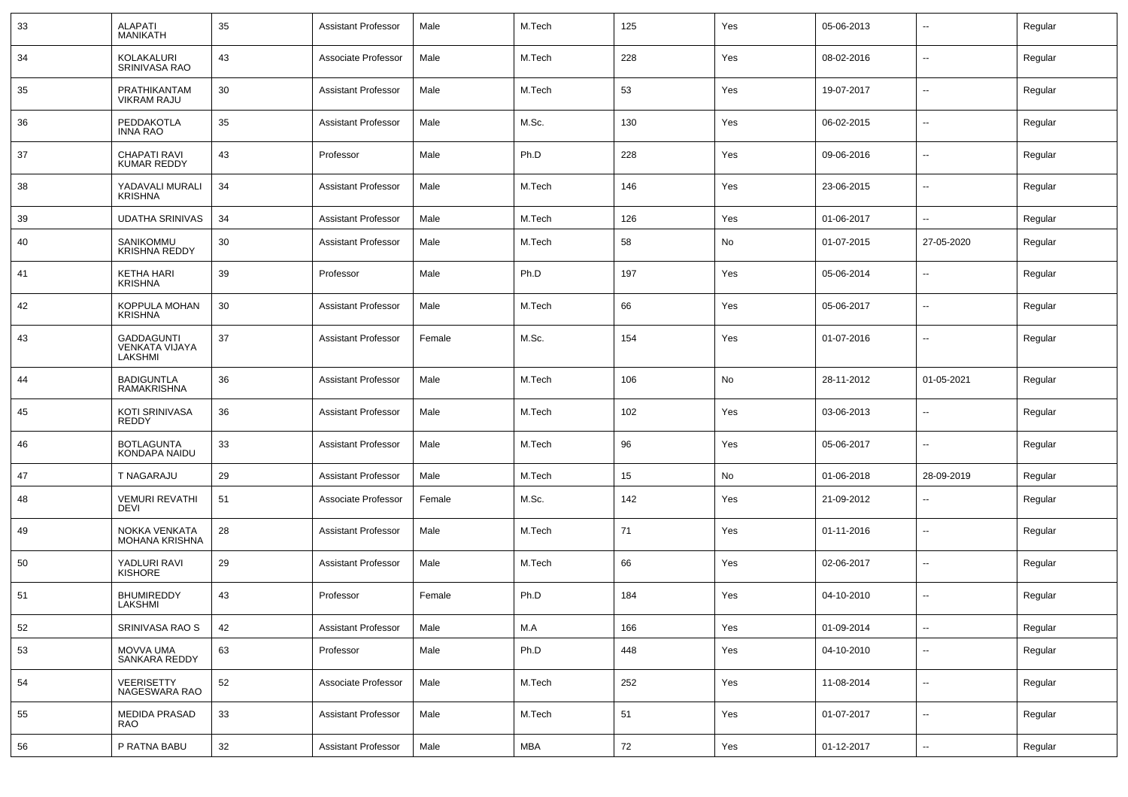| 33 | <b>ALAPATI</b><br><b>MANIKATH</b>              | 35 | <b>Assistant Professor</b> | Male   | M.Tech     | 125 | Yes | 05-06-2013 | --                       | Regular |
|----|------------------------------------------------|----|----------------------------|--------|------------|-----|-----|------------|--------------------------|---------|
| 34 | KOLAKALURI<br>SRINIVASA RAO                    | 43 | Associate Professor        | Male   | M.Tech     | 228 | Yes | 08-02-2016 | $\sim$                   | Regular |
| 35 | PRATHIKANTAM<br><b>VIKRAM RAJU</b>             | 30 | <b>Assistant Professor</b> | Male   | M.Tech     | 53  | Yes | 19-07-2017 | $\overline{\phantom{a}}$ | Regular |
| 36 | PEDDAKOTLA<br><b>INNA RAO</b>                  | 35 | <b>Assistant Professor</b> | Male   | M.Sc.      | 130 | Yes | 06-02-2015 | $\sim$                   | Regular |
| 37 | <b>CHAPATI RAVI</b><br><b>KUMAR REDDY</b>      | 43 | Professor                  | Male   | Ph.D       | 228 | Yes | 09-06-2016 | $\overline{\phantom{a}}$ | Regular |
| 38 | YADAVALI MURALI<br><b>KRISHNA</b>              | 34 | <b>Assistant Professor</b> | Male   | M.Tech     | 146 | Yes | 23-06-2015 | $\sim$                   | Regular |
| 39 | <b>UDATHA SRINIVAS</b>                         | 34 | <b>Assistant Professor</b> | Male   | M.Tech     | 126 | Yes | 01-06-2017 | $\sim$                   | Regular |
| 40 | SANIKOMMU<br><b>KRISHNA REDDY</b>              | 30 | <b>Assistant Professor</b> | Male   | M.Tech     | 58  | No  | 01-07-2015 | 27-05-2020               | Regular |
| 41 | <b>KETHA HARI</b><br><b>KRISHNA</b>            | 39 | Professor                  | Male   | Ph.D       | 197 | Yes | 05-06-2014 | --                       | Regular |
| 42 | KOPPULA MOHAN<br><b>KRISHNA</b>                | 30 | <b>Assistant Professor</b> | Male   | M.Tech     | 66  | Yes | 05-06-2017 | $\overline{\phantom{a}}$ | Regular |
| 43 | GADDAGUNTI<br><b>VENKATA VIJAYA</b><br>LAKSHMI | 37 | <b>Assistant Professor</b> | Female | M.Sc.      | 154 | Yes | 01-07-2016 | --                       | Regular |
| 44 | <b>BADIGUNTLA</b><br><b>RAMAKRISHNA</b>        | 36 | <b>Assistant Professor</b> | Male   | M.Tech     | 106 | No  | 28-11-2012 | 01-05-2021               | Regular |
| 45 | KOTI SRINIVASA<br><b>REDDY</b>                 | 36 | <b>Assistant Professor</b> | Male   | M.Tech     | 102 | Yes | 03-06-2013 | $\sim$                   | Regular |
| 46 | <b>BOTLAGUNTA</b><br>KONDAPA NAIDU             | 33 | <b>Assistant Professor</b> | Male   | M.Tech     | 96  | Yes | 05-06-2017 | $\sim$                   | Regular |
| 47 | T NAGARAJU                                     | 29 | <b>Assistant Professor</b> | Male   | M.Tech     | 15  | No  | 01-06-2018 | 28-09-2019               | Regular |
| 48 | <b>VEMURI REVATHI</b><br><b>DEVI</b>           | 51 | Associate Professor        | Female | M.Sc.      | 142 | Yes | 21-09-2012 | --                       | Regular |
| 49 | NOKKA VENKATA<br><b>MOHANA KRISHNA</b>         | 28 | <b>Assistant Professor</b> | Male   | M.Tech     | 71  | Yes | 01-11-2016 | --                       | Regular |
| 50 | YADLURI RAVI<br><b>KISHORE</b>                 | 29 | <b>Assistant Professor</b> | Male   | M.Tech     | 66  | Yes | 02-06-2017 | --                       | Regular |
| 51 | <b>BHUMIREDDY</b><br>LAKSHMI                   | 43 | Professor                  | Female | Ph.D       | 184 | Yes | 04-10-2010 | --                       | Regular |
| 52 | SRINIVASA RAO S                                | 42 | <b>Assistant Professor</b> | Male   | M.A        | 166 | Yes | 01-09-2014 | Ξ.                       | Regular |
| 53 | MOVVA UMA<br>SANKARA REDDY                     | 63 | Professor                  | Male   | Ph.D       | 448 | Yes | 04-10-2010 | --                       | Regular |
| 54 | VEERISETTY<br>NAGESWARA RAO                    | 52 | Associate Professor        | Male   | M.Tech     | 252 | Yes | 11-08-2014 | $\sim$                   | Regular |
| 55 | <b>MEDIDA PRASAD</b><br>RAO                    | 33 | <b>Assistant Professor</b> | Male   | M.Tech     | 51  | Yes | 01-07-2017 | $\sim$                   | Regular |
| 56 | P RATNA BABU                                   | 32 | <b>Assistant Professor</b> | Male   | <b>MBA</b> | 72  | Yes | 01-12-2017 | $\sim$                   | Regular |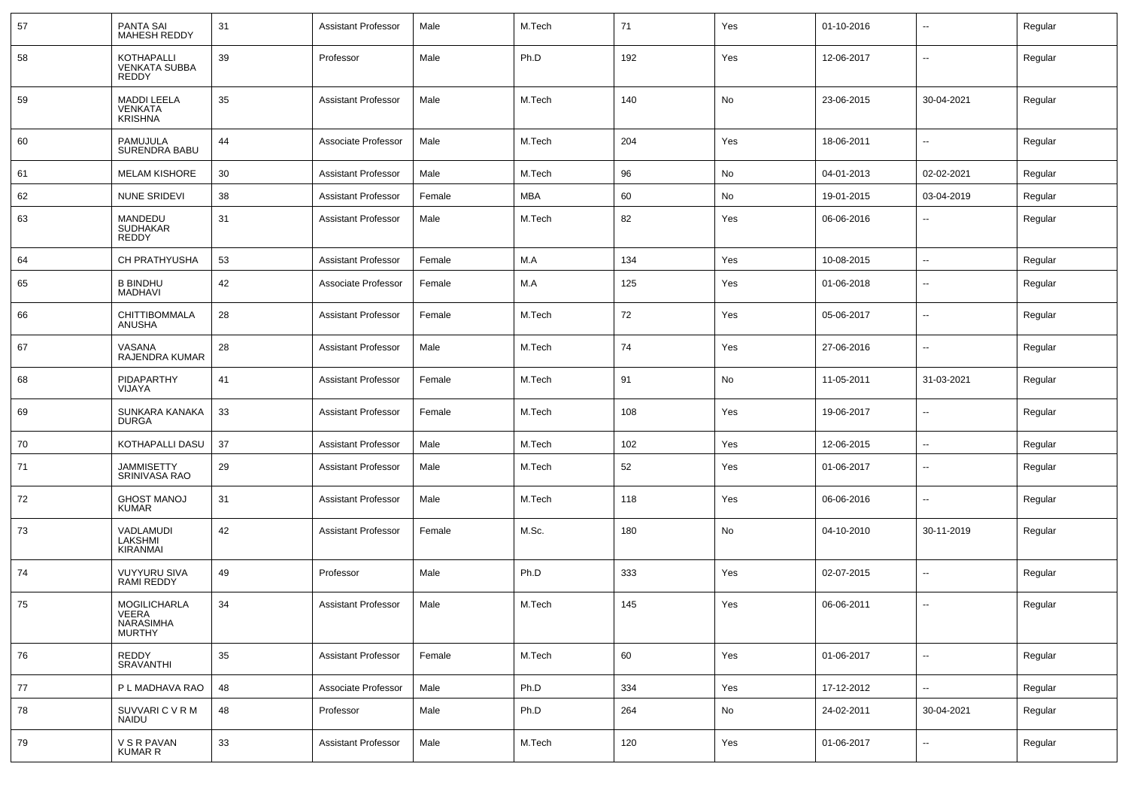| 57 | <b>PANTA SAI</b><br><b>MAHESH REDDY</b>                | 31 | <b>Assistant Professor</b> | Male   | M.Tech     | 71  | Yes | 01-10-2016 | --         | Regular |
|----|--------------------------------------------------------|----|----------------------------|--------|------------|-----|-----|------------|------------|---------|
| 58 | <b>KOTHAPALLI</b><br><b>VENKATA SUBBA</b><br>REDDY     | 39 | Professor                  | Male   | Ph.D       | 192 | Yes | 12-06-2017 | $\sim$     | Regular |
| 59 | <b>MADDI LEELA</b><br><b>VENKATA</b><br><b>KRISHNA</b> | 35 | <b>Assistant Professor</b> | Male   | M.Tech     | 140 | No  | 23-06-2015 | 30-04-2021 | Regular |
| 60 | PAMUJULA<br>SURENDRA BABU                              | 44 | Associate Professor        | Male   | M.Tech     | 204 | Yes | 18-06-2011 | --         | Regular |
| 61 | <b>MELAM KISHORE</b>                                   | 30 | <b>Assistant Professor</b> | Male   | M.Tech     | 96  | No  | 04-01-2013 | 02-02-2021 | Regular |
| 62 | <b>NUNE SRIDEVI</b>                                    | 38 | <b>Assistant Professor</b> | Female | <b>MBA</b> | 60  | No  | 19-01-2015 | 03-04-2019 | Regular |
| 63 | MANDEDU<br><b>SUDHAKAR</b><br>REDDY                    | 31 | <b>Assistant Professor</b> | Male   | M.Tech     | 82  | Yes | 06-06-2016 | --         | Regular |
| 64 | CH PRATHYUSHA                                          | 53 | <b>Assistant Professor</b> | Female | M.A        | 134 | Yes | 10-08-2015 | Ξ.         | Regular |
| 65 | <b>B BINDHU</b><br><b>MADHAVI</b>                      | 42 | Associate Professor        | Female | M.A        | 125 | Yes | 01-06-2018 | $\sim$     | Regular |
| 66 | CHITTIBOMMALA<br>ANUSHA                                | 28 | <b>Assistant Professor</b> | Female | M.Tech     | 72  | Yes | 05-06-2017 | $\sim$     | Regular |
| 67 | VASANA<br>RAJENDRA KUMAR                               | 28 | <b>Assistant Professor</b> | Male   | M.Tech     | 74  | Yes | 27-06-2016 | $\sim$     | Regular |
| 68 | PIDAPARTHY<br>VIJAYA                                   | 41 | <b>Assistant Professor</b> | Female | M.Tech     | 91  | No  | 11-05-2011 | 31-03-2021 | Regular |
| 69 | SUNKARA KANAKA<br><b>DURGA</b>                         | 33 | <b>Assistant Professor</b> | Female | M.Tech     | 108 | Yes | 19-06-2017 | $\sim$     | Regular |
| 70 | KOTHAPALLI DASU                                        | 37 | <b>Assistant Professor</b> | Male   | M.Tech     | 102 | Yes | 12-06-2015 | $\sim$     | Regular |
| 71 | <b>JAMMISETTY</b><br>SRINIVASA RAO                     | 29 | <b>Assistant Professor</b> | Male   | M.Tech     | 52  | Yes | 01-06-2017 | --         | Regular |
| 72 | <b>GHOST MANOJ</b><br><b>KUMAR</b>                     | 31 | <b>Assistant Professor</b> | Male   | M.Tech     | 118 | Yes | 06-06-2016 | --         | Regular |
| 73 | VADLAMUDI<br>LAKSHMI<br><b>KIRANMAI</b>                | 42 | <b>Assistant Professor</b> | Female | M.Sc.      | 180 | No  | 04-10-2010 | 30-11-2019 | Regular |
| 74 | <b>VUYYURU SIVA</b><br>RAMI REDDY                      | 49 | Professor                  | Male   | Ph.D       | 333 | Yes | 02-07-2015 | $\sim$     | Regular |
| 75 | <b>MOGILICHARLA</b><br>VEERA<br>NARASIMHA<br>MURTHY    | 34 | <b>Assistant Professor</b> | Male   | M.Tech     | 145 | Yes | 06-06-2011 | ۵.         | Regular |
| 76 | REDDY<br>SRAVANTHI                                     | 35 | <b>Assistant Professor</b> | Female | M.Tech     | 60  | Yes | 01-06-2017 | Ξ.         | Regular |
| 77 | P L MADHAVA RAO                                        | 48 | Associate Professor        | Male   | Ph.D       | 334 | Yes | 17-12-2012 | Ξ.         | Regular |
| 78 | SUVVARI C V R M<br><b>NAIDU</b>                        | 48 | Professor                  | Male   | Ph.D       | 264 | No  | 24-02-2011 | 30-04-2021 | Regular |
| 79 | V S R PAVAN<br><b>KUMAR R</b>                          | 33 | <b>Assistant Professor</b> | Male   | M.Tech     | 120 | Yes | 01-06-2017 | $\sim$     | Regular |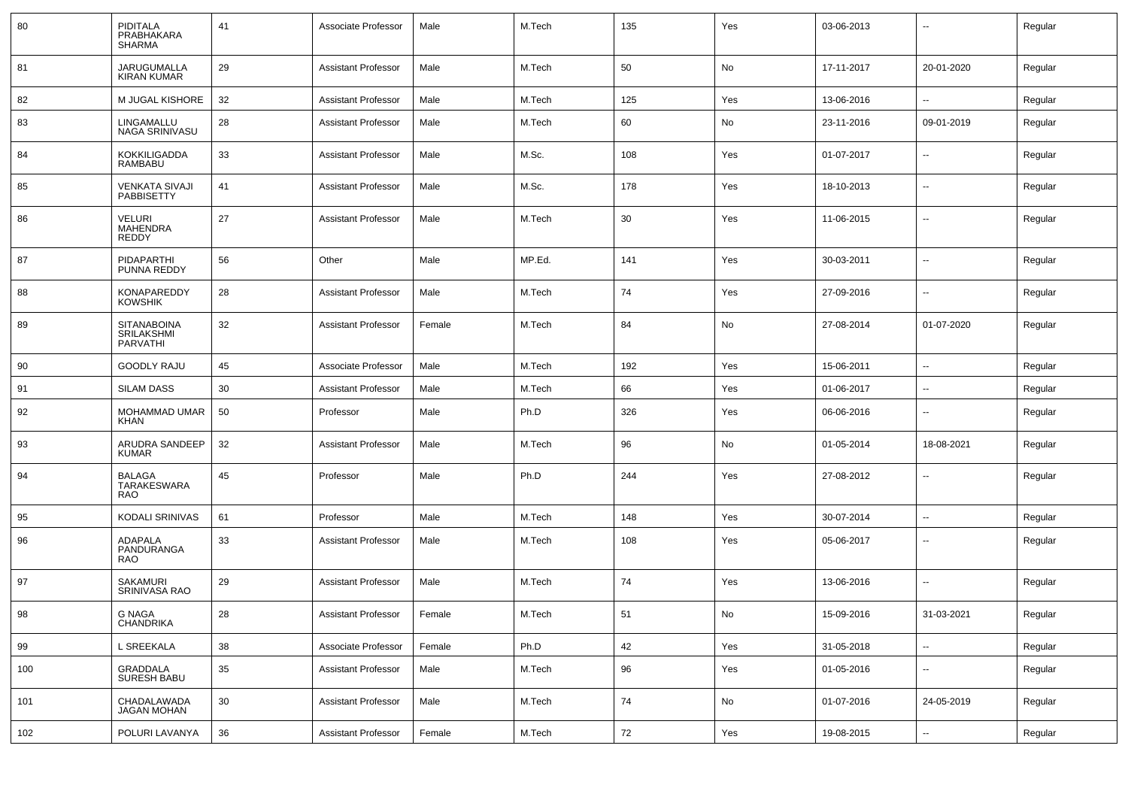| 80  | PIDITALA<br>PRABHAKARA<br><b>SHARMA</b>             | 41 | Associate Professor        | Male   | M.Tech | 135 | Yes | 03-06-2013 |                          | Regular |
|-----|-----------------------------------------------------|----|----------------------------|--------|--------|-----|-----|------------|--------------------------|---------|
| 81  | JARUGUMALLA<br><b>KIRAN KUMAR</b>                   | 29 | <b>Assistant Professor</b> | Male   | M.Tech | 50  | No  | 17-11-2017 | 20-01-2020               | Regular |
| 82  | M JUGAL KISHORE                                     | 32 | <b>Assistant Professor</b> | Male   | M.Tech | 125 | Yes | 13-06-2016 | --                       | Regular |
| 83  | LINGAMALLU<br>NAGA SRINIVASU                        | 28 | <b>Assistant Professor</b> | Male   | M.Tech | 60  | No  | 23-11-2016 | 09-01-2019               | Regular |
| 84  | <b>KOKKILIGADDA</b><br><b>RAMBABU</b>               | 33 | <b>Assistant Professor</b> | Male   | M.Sc.  | 108 | Yes | 01-07-2017 | $\overline{a}$           | Regular |
| 85  | <b>VENKATA SIVAJI</b><br><b>PABBISETTY</b>          | 41 | <b>Assistant Professor</b> | Male   | M.Sc.  | 178 | Yes | 18-10-2013 | --                       | Regular |
| 86  | <b>VELURI</b><br><b>MAHENDRA</b><br>REDDY           | 27 | <b>Assistant Professor</b> | Male   | M.Tech | 30  | Yes | 11-06-2015 | $\overline{a}$           | Regular |
| 87  | <b>PIDAPARTHI</b><br>PUNNA REDDY                    | 56 | Other                      | Male   | MP.Ed. | 141 | Yes | 30-03-2011 | --                       | Regular |
| 88  | <b>KONAPAREDDY</b><br><b>KOWSHIK</b>                | 28 | <b>Assistant Professor</b> | Male   | M.Tech | 74  | Yes | 27-09-2016 | --                       | Regular |
| 89  | <b>SITANABOINA</b><br>SRILAKSHMI<br><b>PARVATHI</b> | 32 | <b>Assistant Professor</b> | Female | M.Tech | 84  | No  | 27-08-2014 | 01-07-2020               | Regular |
| 90  | <b>GOODLY RAJU</b>                                  | 45 | Associate Professor        | Male   | M.Tech | 192 | Yes | 15-06-2011 | $\sim$                   | Regular |
| 91  | <b>SILAM DASS</b>                                   | 30 | <b>Assistant Professor</b> | Male   | M.Tech | 66  | Yes | 01-06-2017 | --                       | Regular |
| 92  | MOHAMMAD UMAR<br><b>KHAN</b>                        | 50 | Professor                  | Male   | Ph.D   | 326 | Yes | 06-06-2016 | $\overline{a}$           | Regular |
| 93  | ARUDRA SANDEEP<br><b>KUMAR</b>                      | 32 | <b>Assistant Professor</b> | Male   | M.Tech | 96  | No  | 01-05-2014 | 18-08-2021               | Regular |
| 94  | BALAGA<br>TARAKESWARA<br><b>RAO</b>                 | 45 | Professor                  | Male   | Ph.D   | 244 | Yes | 27-08-2012 | $\overline{a}$           | Regular |
| 95  | <b>KODALI SRINIVAS</b>                              | 61 | Professor                  | Male   | M.Tech | 148 | Yes | 30-07-2014 | $\overline{a}$           | Regular |
| 96  | <b>ADAPALA</b><br>PANDURANGA<br><b>RAO</b>          | 33 | <b>Assistant Professor</b> | Male   | M.Tech | 108 | Yes | 05-06-2017 | $\overline{a}$           | Regular |
| 97  | <b>SAKAMURI</b><br>SRINIVASA RAO                    | 29 | <b>Assistant Professor</b> | Male   | M.Tech | 74  | Yes | 13-06-2016 | $\sim$                   | Regular |
| 98  | <b>G NAGA</b><br>CHANDRIKA                          | 28 | <b>Assistant Professor</b> | Female | M.Tech | 51  | No  | 15-09-2016 | 31-03-2021               | Regular |
| 99  | L SREEKALA                                          | 38 | Associate Professor        | Female | Ph.D   | 42  | Yes | 31-05-2018 | $\sim$                   | Regular |
| 100 | GRADDALA<br>SURESH BABU                             | 35 | <b>Assistant Professor</b> | Male   | M.Tech | 96  | Yes | 01-05-2016 | u.                       | Regular |
| 101 | CHADALAWADA<br><b>JAGAN MOHAN</b>                   | 30 | <b>Assistant Professor</b> | Male   | M.Tech | 74  | No  | 01-07-2016 | 24-05-2019               | Regular |
| 102 | POLURI LAVANYA                                      | 36 | <b>Assistant Professor</b> | Female | M.Tech | 72  | Yes | 19-08-2015 | $\overline{\phantom{a}}$ | Regular |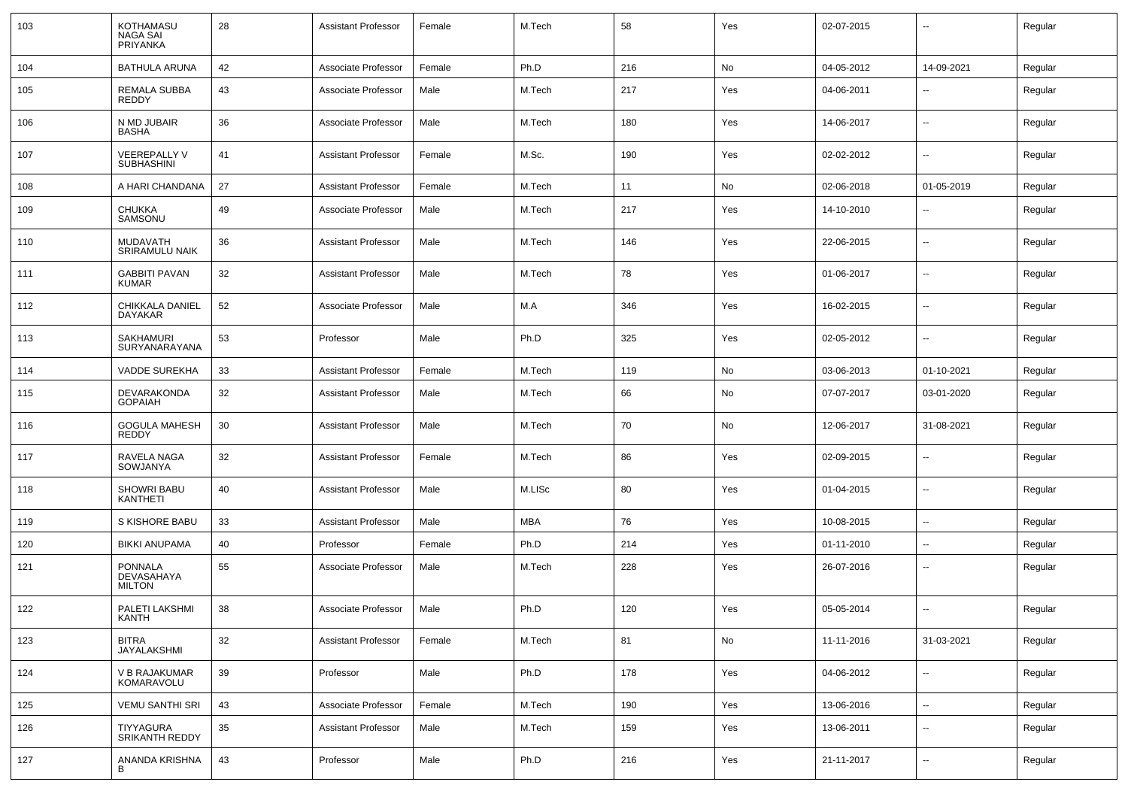| 103 | KOTHAMASU<br>NAGA SAI<br>PRIYANKA             | 28 | <b>Assistant Professor</b> | Female | M.Tech     | 58  | Yes | 02-07-2015 | $\overline{\phantom{a}}$ | Regular |
|-----|-----------------------------------------------|----|----------------------------|--------|------------|-----|-----|------------|--------------------------|---------|
| 104 | <b>BATHULA ARUNA</b>                          | 42 | Associate Professor        | Female | Ph.D       | 216 | No  | 04-05-2012 | 14-09-2021               | Regular |
| 105 | REMALA SUBBA<br>REDDY                         | 43 | Associate Professor        | Male   | M.Tech     | 217 | Yes | 04-06-2011 | $\overline{\phantom{a}}$ | Regular |
| 106 | N MD JUBAIR<br>BASHA                          | 36 | Associate Professor        | Male   | M.Tech     | 180 | Yes | 14-06-2017 | $\overline{\phantom{a}}$ | Regular |
| 107 | <b>VEEREPALLY V</b><br><b>SUBHASHINI</b>      | 41 | <b>Assistant Professor</b> | Female | M.Sc.      | 190 | Yes | 02-02-2012 | н.                       | Regular |
| 108 | A HARI CHANDANA                               | 27 | <b>Assistant Professor</b> | Female | M.Tech     | 11  | No  | 02-06-2018 | 01-05-2019               | Regular |
| 109 | <b>CHUKKA</b><br>SAMSONU                      | 49 | Associate Professor        | Male   | M.Tech     | 217 | Yes | 14-10-2010 | --                       | Regular |
| 110 | <b>MUDAVATH</b><br>SRIRAMULU NAIK             | 36 | <b>Assistant Professor</b> | Male   | M.Tech     | 146 | Yes | 22-06-2015 | --                       | Regular |
| 111 | <b>GABBITI PAVAN</b><br><b>KUMAR</b>          | 32 | <b>Assistant Professor</b> | Male   | M.Tech     | 78  | Yes | 01-06-2017 | $\overline{\phantom{a}}$ | Regular |
| 112 | CHIKKALA DANIEL<br>DAYAKAR                    | 52 | Associate Professor        | Male   | M.A        | 346 | Yes | 16-02-2015 | --                       | Regular |
| 113 | <b>SAKHAMURI</b><br>SURYANARAYANA             | 53 | Professor                  | Male   | Ph.D       | 325 | Yes | 02-05-2012 | --                       | Regular |
| 114 | <b>VADDE SUREKHA</b>                          | 33 | <b>Assistant Professor</b> | Female | M.Tech     | 119 | No  | 03-06-2013 | 01-10-2021               | Regular |
| 115 | DEVARAKONDA<br><b>GOPAIAH</b>                 | 32 | <b>Assistant Professor</b> | Male   | M.Tech     | 66  | No  | 07-07-2017 | 03-01-2020               | Regular |
| 116 | GOGULA MAHESH<br><b>REDDY</b>                 | 30 | <b>Assistant Professor</b> | Male   | M.Tech     | 70  | No  | 12-06-2017 | 31-08-2021               | Regular |
| 117 | RAVELA NAGA<br>SOWJANYA                       | 32 | <b>Assistant Professor</b> | Female | M.Tech     | 86  | Yes | 02-09-2015 | ⊷.                       | Regular |
| 118 | <b>SHOWRI BABU</b><br>KANTHETI                | 40 | <b>Assistant Professor</b> | Male   | M.LISc     | 80  | Yes | 01-04-2015 | $\overline{\phantom{a}}$ | Regular |
| 119 | S KISHORE BABU                                | 33 | <b>Assistant Professor</b> | Male   | <b>MBA</b> | 76  | Yes | 10-08-2015 | $\overline{\phantom{a}}$ | Regular |
| 120 | <b>BIKKI ANUPAMA</b>                          | 40 | Professor                  | Female | Ph.D       | 214 | Yes | 01-11-2010 | --                       | Regular |
| 121 | <b>PONNALA</b><br>DEVASAHAYA<br><b>MILTON</b> | 55 | Associate Professor        | Male   | M.Tech     | 228 | Yes | 26-07-2016 | --                       | Regular |
| 122 | PALETI LAKSHMI<br>KANTH                       | 38 | Associate Professor        | Male   | Ph.D       | 120 | Yes | 05-05-2014 | $\overline{\phantom{a}}$ | Regular |
| 123 | <b>BITRA</b><br>JAYALAKSHMI                   | 32 | <b>Assistant Professor</b> | Female | M.Tech     | 81  | No  | 11-11-2016 | 31-03-2021               | Regular |
| 124 | V B RAJAKUMAR<br>KOMARAVOLU                   | 39 | Professor                  | Male   | Ph.D       | 178 | Yes | 04-06-2012 | ⊷.                       | Regular |
| 125 | <b>VEMU SANTHI SRI</b>                        | 43 | Associate Professor        | Female | M.Tech     | 190 | Yes | 13-06-2016 | Ξ.                       | Regular |
| 126 | TIYYAGURA<br>SRIKANTH REDDY                   | 35 | <b>Assistant Professor</b> | Male   | M.Tech     | 159 | Yes | 13-06-2011 | $\sim$                   | Regular |
| 127 | ANANDA KRISHNA<br>В                           | 43 | Professor                  | Male   | Ph.D       | 216 | Yes | 21-11-2017 | $\overline{\phantom{a}}$ | Regular |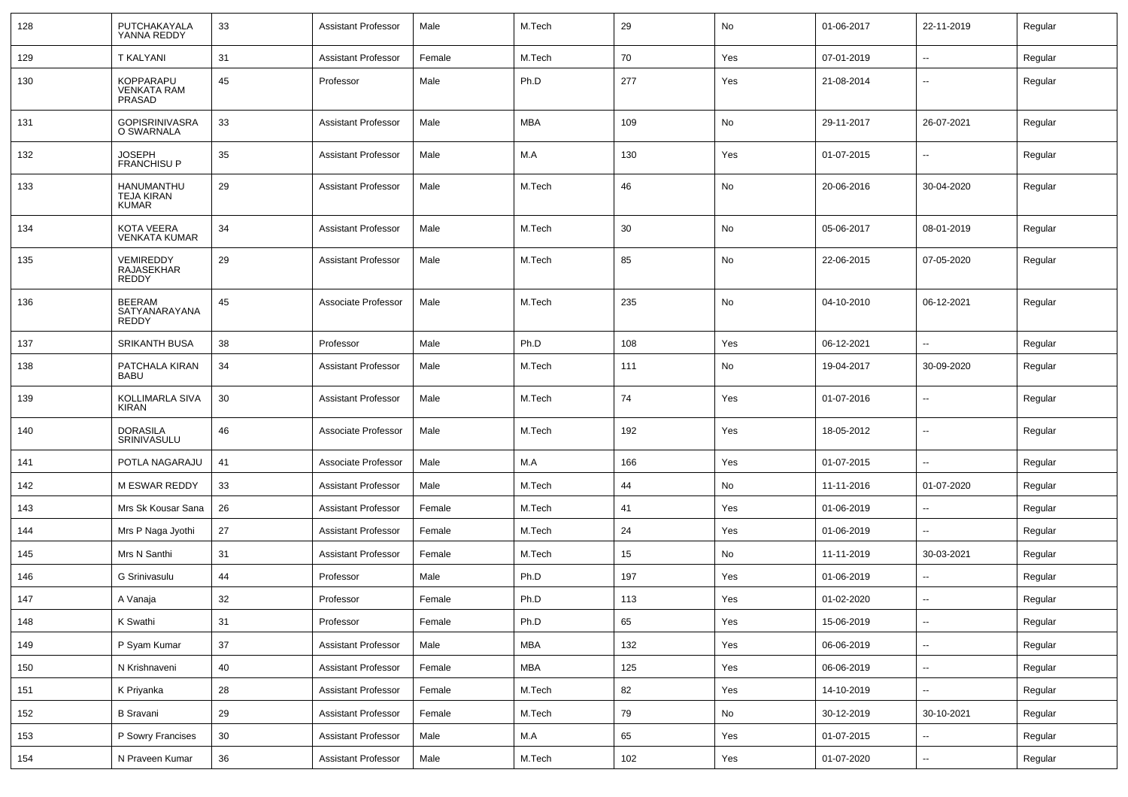| 128 | PUTCHAKAYALA<br>YANNA REDDY                     | 33              | <b>Assistant Professor</b> | Male   | M.Tech     | 29      | No  | 01-06-2017 | 22-11-2019               | Regular |
|-----|-------------------------------------------------|-----------------|----------------------------|--------|------------|---------|-----|------------|--------------------------|---------|
| 129 | <b>T KALYANI</b>                                | 31              | <b>Assistant Professor</b> | Female | M.Tech     | 70      | Yes | 07-01-2019 | $\sim$                   | Regular |
| 130 | KOPPARAPU<br><b>VENKATA RAM</b><br>PRASAD       | 45              | Professor                  | Male   | Ph.D       | 277     | Yes | 21-08-2014 | --                       | Regular |
| 131 | GOPISRINIVASRA<br>O SWARNALA                    | 33              | Assistant Professor        | Male   | <b>MBA</b> | 109     | No  | 29-11-2017 | 26-07-2021               | Regular |
| 132 | <b>JOSEPH</b><br><b>FRANCHISU P</b>             | 35              | <b>Assistant Professor</b> | Male   | M.A        | 130     | Yes | 01-07-2015 | $\sim$                   | Regular |
| 133 | HANUMANTHU<br><b>TEJA KIRAN</b><br><b>KUMAR</b> | 29              | <b>Assistant Professor</b> | Male   | M.Tech     | 46      | No  | 20-06-2016 | 30-04-2020               | Regular |
| 134 | <b>KOTA VEERA</b><br><b>VENKATA KUMAR</b>       | 34              | <b>Assistant Professor</b> | Male   | M.Tech     | 30      | No  | 05-06-2017 | 08-01-2019               | Regular |
| 135 | VEMIREDDY<br>RAJASEKHAR<br><b>REDDY</b>         | 29              | <b>Assistant Professor</b> | Male   | M.Tech     | 85      | No  | 22-06-2015 | 07-05-2020               | Regular |
| 136 | <b>BEERAM</b><br>SATYANARAYANA<br><b>REDDY</b>  | 45              | Associate Professor        | Male   | M.Tech     | 235     | No  | 04-10-2010 | 06-12-2021               | Regular |
| 137 | <b>SRIKANTH BUSA</b>                            | 38              | Professor                  | Male   | Ph.D       | 108     | Yes | 06-12-2021 | $\mathbf{u}$             | Regular |
| 138 | PATCHALA KIRAN<br><b>BABU</b>                   | 34              | <b>Assistant Professor</b> | Male   | M.Tech     | 111     | No  | 19-04-2017 | 30-09-2020               | Regular |
| 139 | KOLLIMARLA SIVA<br><b>KIRAN</b>                 | 30              | <b>Assistant Professor</b> | Male   | M.Tech     | 74      | Yes | 01-07-2016 | $\mathbf{u}$             | Regular |
| 140 | <b>DORASILA</b><br>SRINIVASULU                  | 46              | Associate Professor        | Male   | M.Tech     | 192     | Yes | 18-05-2012 | $\overline{a}$           | Regular |
| 141 | POTLA NAGARAJU                                  | 41              | Associate Professor        | Male   | M.A        | 166     | Yes | 01-07-2015 | $\mathbf{u}$             | Regular |
| 142 | M ESWAR REDDY                                   | 33              | <b>Assistant Professor</b> | Male   | M.Tech     | 44      | No  | 11-11-2016 | 01-07-2020               | Regular |
| 143 | Mrs Sk Kousar Sana                              | 26              | <b>Assistant Professor</b> | Female | M.Tech     | 41      | Yes | 01-06-2019 | $\overline{\phantom{a}}$ | Regular |
| 144 | Mrs P Naga Jyothi                               | 27              | <b>Assistant Professor</b> | Female | M.Tech     | 24      | Yes | 01-06-2019 |                          | Regular |
| 145 | Mrs N Santhi                                    | 31              | <b>Assistant Professor</b> | Female | M.Tech     | 15      | No  | 11-11-2019 | 30-03-2021               | Regular |
| 146 | G Srinivasulu                                   | 44              | Professor                  | Male   | Ph.D       | 197     | Yes | 01-06-2019 | $\overline{\phantom{a}}$ | Regular |
| 147 | A Vanaja                                        | 32              | Professor                  | Female | Ph.D       | 113     | Yes | 01-02-2020 | $\mathbf{u}$             | Regular |
| 148 | K Swathi                                        | 31              | Professor                  | Female | Ph.D       | 65      | Yes | 15-06-2019 | $\overline{\phantom{a}}$ | Regular |
| 149 | P Syam Kumar                                    | 37              | <b>Assistant Professor</b> | Male   | <b>MBA</b> | 132     | Yes | 06-06-2019 | $\sim$                   | Regular |
| 150 | N Krishnaveni                                   | 40              | <b>Assistant Professor</b> | Female | <b>MBA</b> | 125     | Yes | 06-06-2019 | $\sim$                   | Regular |
| 151 | K Priyanka                                      | 28              | <b>Assistant Professor</b> | Female | M.Tech     | 82      | Yes | 14-10-2019 | $\sim$                   | Regular |
| 152 | <b>B</b> Sravani                                | 29              | <b>Assistant Professor</b> | Female | M.Tech     | 79      | No  | 30-12-2019 | 30-10-2021               | Regular |
| 153 | P Sowry Francises                               | 30 <sup>°</sup> | <b>Assistant Professor</b> | Male   | M.A        | 65      | Yes | 01-07-2015 | $\sim$                   | Regular |
| 154 | N Praveen Kumar                                 | 36              | <b>Assistant Professor</b> | Male   | M.Tech     | $102\,$ | Yes | 01-07-2020 | $\sim$                   | Regular |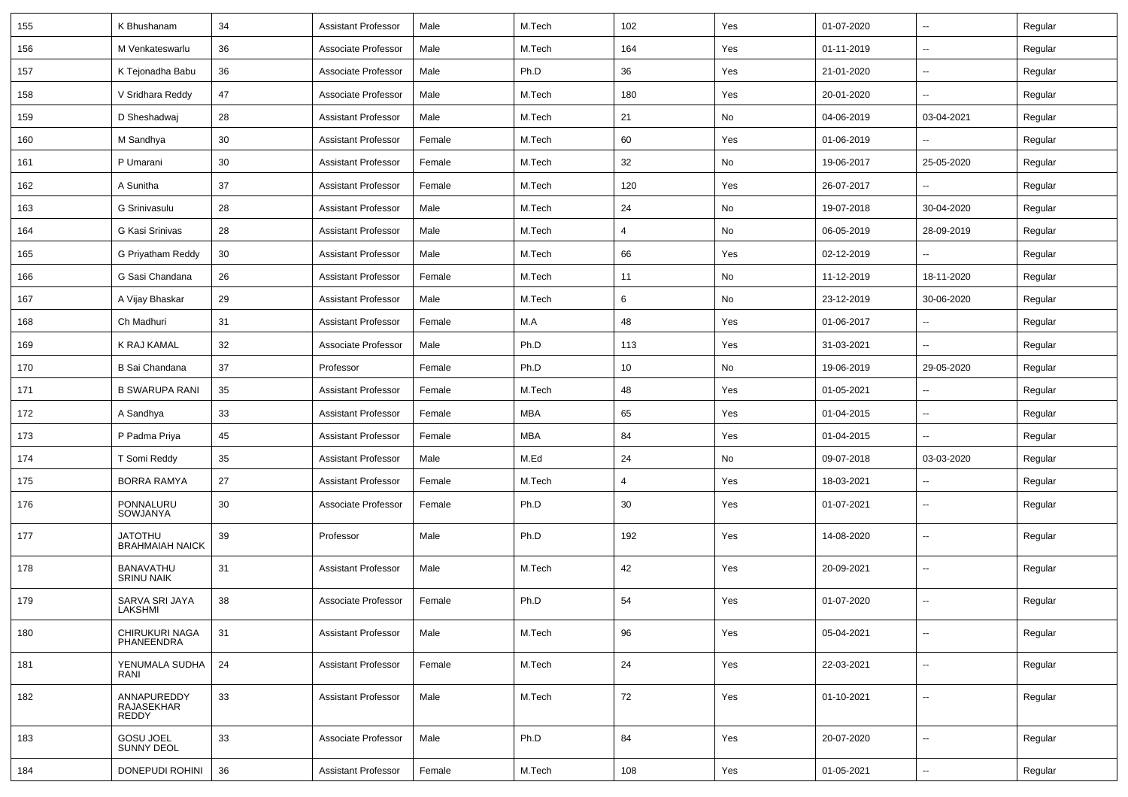| 155 | K Bhushanam                           | 34 | <b>Assistant Professor</b> | Male   | M.Tech     | 102 | Yes | 01-07-2020 | $\overline{\phantom{a}}$ | Regular |
|-----|---------------------------------------|----|----------------------------|--------|------------|-----|-----|------------|--------------------------|---------|
| 156 | M Venkateswarlu                       | 36 | Associate Professor        | Male   | M.Tech     | 164 | Yes | 01-11-2019 | $\sim$                   | Regular |
| 157 | K Tejonadha Babu                      | 36 | Associate Professor        | Male   | Ph.D       | 36  | Yes | 21-01-2020 | --                       | Regular |
| 158 | V Sridhara Reddy                      | 47 | Associate Professor        | Male   | M.Tech     | 180 | Yes | 20-01-2020 | -−                       | Regular |
| 159 | D Sheshadwaj                          | 28 | <b>Assistant Professor</b> | Male   | M.Tech     | 21  | No  | 04-06-2019 | 03-04-2021               | Regular |
| 160 | M Sandhya                             | 30 | <b>Assistant Professor</b> | Female | M.Tech     | 60  | Yes | 01-06-2019 |                          | Regular |
| 161 | P Umarani                             | 30 | <b>Assistant Professor</b> | Female | M.Tech     | 32  | No  | 19-06-2017 | 25-05-2020               | Regular |
| 162 | A Sunitha                             | 37 | <b>Assistant Professor</b> | Female | M.Tech     | 120 | Yes | 26-07-2017 | $\overline{a}$           | Regular |
| 163 | G Srinivasulu                         | 28 | <b>Assistant Professor</b> | Male   | M.Tech     | 24  | No  | 19-07-2018 | 30-04-2020               | Regular |
| 164 | G Kasi Srinivas                       | 28 | <b>Assistant Professor</b> | Male   | M.Tech     | 4   | No  | 06-05-2019 | 28-09-2019               | Regular |
| 165 | G Priyatham Reddy                     | 30 | <b>Assistant Professor</b> | Male   | M.Tech     | 66  | Yes | 02-12-2019 | --                       | Regular |
| 166 | G Sasi Chandana                       | 26 | <b>Assistant Professor</b> | Female | M.Tech     | 11  | No  | 11-12-2019 | 18-11-2020               | Regular |
| 167 | A Vijay Bhaskar                       | 29 | <b>Assistant Professor</b> | Male   | M.Tech     | 6   | No  | 23-12-2019 | 30-06-2020               | Regular |
| 168 | Ch Madhuri                            | 31 | <b>Assistant Professor</b> | Female | M.A        | 48  | Yes | 01-06-2017 | $\sim$                   | Regular |
| 169 | K RAJ KAMAL                           | 32 | Associate Professor        | Male   | Ph.D       | 113 | Yes | 31-03-2021 | -−                       | Regular |
| 170 | B Sai Chandana                        | 37 | Professor                  | Female | Ph.D       | 10  | No  | 19-06-2019 | 29-05-2020               | Regular |
| 171 | <b>B SWARUPA RANI</b>                 | 35 | <b>Assistant Professor</b> | Female | M.Tech     | 48  | Yes | 01-05-2021 | $\overline{a}$           | Regular |
| 172 | A Sandhya                             | 33 | <b>Assistant Professor</b> | Female | <b>MBA</b> | 65  | Yes | 01-04-2015 | $\overline{\phantom{a}}$ | Regular |
| 173 | P Padma Priya                         | 45 | <b>Assistant Professor</b> | Female | <b>MBA</b> | 84  | Yes | 01-04-2015 | $\mathbf{u}$             | Regular |
| 174 | T Somi Reddy                          | 35 | <b>Assistant Professor</b> | Male   | M.Ed       | 24  | No  | 09-07-2018 | 03-03-2020               | Regular |
| 175 | <b>BORRA RAMYA</b>                    | 27 | <b>Assistant Professor</b> | Female | M.Tech     | 4   | Yes | 18-03-2021 | н.                       | Regular |
| 176 | PONNALURU<br><b>SOWJANYA</b>          | 30 | Associate Professor        | Female | Ph.D       | 30  | Yes | 01-07-2021 | н.                       | Regular |
| 177 | JATOTHU<br><b>BRAHMAIAH NAICK</b>     | 39 | Professor                  | Male   | Ph.D       | 192 | Yes | 14-08-2020 | $\overline{\phantom{a}}$ | Regular |
| 178 | <b>BANAVATHU</b><br><b>SRINU NAIK</b> | 31 | <b>Assistant Professor</b> | Male   | M.Tech     | 42  | Yes | 20-09-2021 | ⊷.                       | Regular |
| 179 | SARVA SRI JAYA<br>LAKSHMI             | 38 | Associate Professor        | Female | Ph.D       | 54  | Yes | 01-07-2020 | --                       | Regular |
| 180 | CHIRUKURI NAGA<br>PHANEENDRA          | 31 | <b>Assistant Professor</b> | Male   | M.Tech     | 96  | Yes | 05-04-2021 | -−                       | Regular |
| 181 | YENUMALA SUDHA<br>RANI                | 24 | <b>Assistant Professor</b> | Female | M.Tech     | 24  | Yes | 22-03-2021 | $\overline{\phantom{a}}$ | Regular |
| 182 | ANNAPUREDDY<br>RAJASEKHAR<br>REDDY    | 33 | <b>Assistant Professor</b> | Male   | M.Tech     | 72  | Yes | 01-10-2021 | $\overline{\phantom{a}}$ | Regular |
| 183 | GOSU JOEL<br><b>SUNNY DEOL</b>        | 33 | Associate Professor        | Male   | Ph.D       | 84  | Yes | 20-07-2020 | $\overline{\phantom{a}}$ | Regular |
| 184 | DONEPUDI ROHINI                       | 36 | <b>Assistant Professor</b> | Female | M.Tech     | 108 | Yes | 01-05-2021 | н.                       | Regular |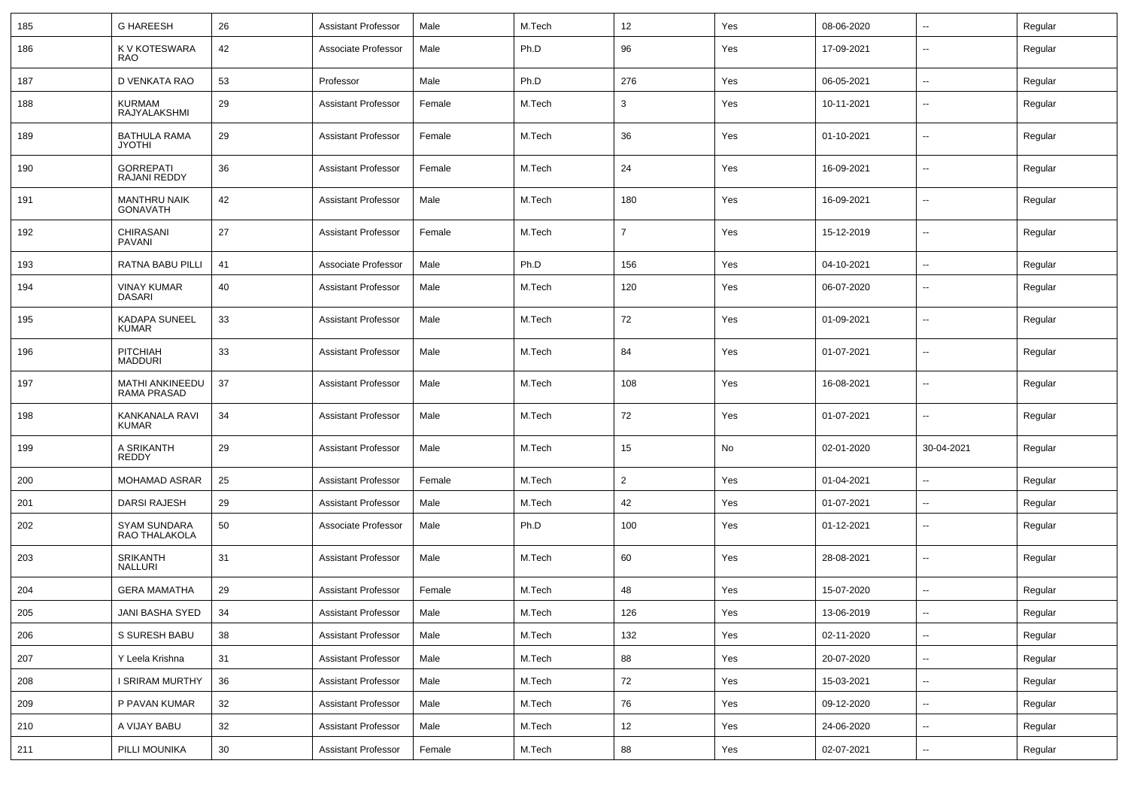| 185 | <b>G HAREESH</b>                       | 26 | <b>Assistant Professor</b> | Male   | M.Tech | 12             | Yes | 08-06-2020 | $\sim$                   | Regular |
|-----|----------------------------------------|----|----------------------------|--------|--------|----------------|-----|------------|--------------------------|---------|
| 186 | K V KOTESWARA<br>RAO                   | 42 | Associate Professor        | Male   | Ph.D   | 96             | Yes | 17-09-2021 | --                       | Regular |
| 187 | D VENKATA RAO                          | 53 | Professor                  | Male   | Ph.D   | 276            | Yes | 06-05-2021 | ۰.                       | Regular |
| 188 | <b>KURMAM</b><br>RAJYALAKSHMI          | 29 | <b>Assistant Professor</b> | Female | M.Tech | 3              | Yes | 10-11-2021 | $\overline{\phantom{a}}$ | Regular |
| 189 | <b>BATHULA RAMA</b><br><b>JYOTHI</b>   | 29 | <b>Assistant Professor</b> | Female | M.Tech | 36             | Yes | 01-10-2021 | --                       | Regular |
| 190 | <b>GORREPATI</b><br>RAJANI REDDY       | 36 | <b>Assistant Professor</b> | Female | M.Tech | 24             | Yes | 16-09-2021 | $\overline{\phantom{a}}$ | Regular |
| 191 | <b>MANTHRU NAIK</b><br><b>GONAVATH</b> | 42 | <b>Assistant Professor</b> | Male   | M.Tech | 180            | Yes | 16-09-2021 | $\overline{\phantom{a}}$ | Regular |
| 192 | CHIRASANI<br>PAVANI                    | 27 | <b>Assistant Professor</b> | Female | M.Tech | $\overline{7}$ | Yes | 15-12-2019 | --                       | Regular |
| 193 | RATNA BABU PILLI                       | 41 | Associate Professor        | Male   | Ph.D   | 156            | Yes | 04-10-2021 | $\mathbf{u}$             | Regular |
| 194 | <b>VINAY KUMAR</b><br><b>DASARI</b>    | 40 | <b>Assistant Professor</b> | Male   | M.Tech | 120            | Yes | 06-07-2020 | $-$                      | Regular |
| 195 | <b>KADAPA SUNEEL</b><br><b>KUMAR</b>   | 33 | <b>Assistant Professor</b> | Male   | M.Tech | 72             | Yes | 01-09-2021 | --                       | Regular |
| 196 | <b>PITCHIAH</b><br><b>MADDURI</b>      | 33 | <b>Assistant Professor</b> | Male   | M.Tech | 84             | Yes | 01-07-2021 | --                       | Regular |
| 197 | <b>MATHI ANKINEEDU</b><br>RAMA PRASAD  | 37 | <b>Assistant Professor</b> | Male   | M.Tech | 108            | Yes | 16-08-2021 | $-$                      | Regular |
| 198 | KANKANALA RAVI<br>KUMAR                | 34 | <b>Assistant Professor</b> | Male   | M.Tech | 72             | Yes | 01-07-2021 | --                       | Regular |
| 199 | A SRIKANTH<br>REDDY                    | 29 | <b>Assistant Professor</b> | Male   | M.Tech | 15             | No  | 02-01-2020 | 30-04-2021               | Regular |
| 200 | <b>MOHAMAD ASRAR</b>                   | 25 | <b>Assistant Professor</b> | Female | M.Tech | $\overline{2}$ | Yes | 01-04-2021 | $-$                      | Regular |
| 201 | DARSI RAJESH                           | 29 | <b>Assistant Professor</b> | Male   | M.Tech | 42             | Yes | 01-07-2021 | $\overline{a}$           | Regular |
| 202 | <b>SYAM SUNDARA</b><br>RAO THALAKOLA   | 50 | Associate Professor        | Male   | Ph.D   | 100            | Yes | 01-12-2021 | $\overline{a}$           | Regular |
| 203 | SRIKANTH<br>NALLURI                    | 31 | <b>Assistant Professor</b> | Male   | M.Tech | 60             | Yes | 28-08-2021 | $\sim$                   | Regular |
| 204 | <b>GERA MAMATHA</b>                    | 29 | <b>Assistant Professor</b> | Female | M.Tech | 48             | Yes | 15-07-2020 | $\sim$                   | Regular |
| 205 | JANI BASHA SYED                        | 34 | <b>Assistant Professor</b> | Male   | M.Tech | 126            | Yes | 13-06-2019 | $\overline{\phantom{a}}$ | Regular |
| 206 | S SURESH BABU                          | 38 | <b>Assistant Professor</b> | Male   | M.Tech | 132            | Yes | 02-11-2020 | $\sim$                   | Regular |
| 207 | Y Leela Krishna                        | 31 | Assistant Professor        | Male   | M.Tech | 88             | Yes | 20-07-2020 | $\overline{a}$           | Regular |
| 208 | I SRIRAM MURTHY                        | 36 | <b>Assistant Professor</b> | Male   | M.Tech | 72             | Yes | 15-03-2021 | $\overline{\phantom{a}}$ | Regular |
| 209 | P PAVAN KUMAR                          | 32 | <b>Assistant Professor</b> | Male   | M.Tech | 76             | Yes | 09-12-2020 | $\sim$                   | Regular |
| 210 | A VIJAY BABU                           | 32 | <b>Assistant Professor</b> | Male   | M.Tech | 12             | Yes | 24-06-2020 | $\sim$                   | Regular |
| 211 | PILLI MOUNIKA                          | 30 | <b>Assistant Professor</b> | Female | M.Tech | 88             | Yes | 02-07-2021 | $\sim$                   | Regular |